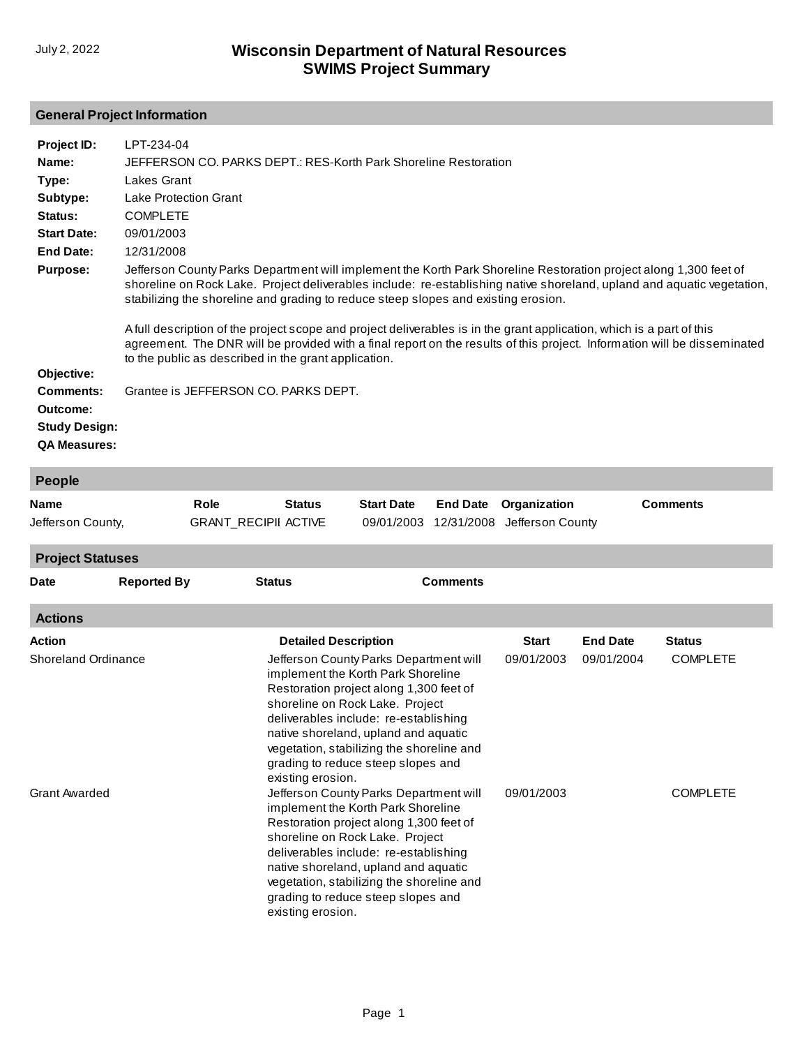## **General Project Information**

| Project ID:                                                          | LPT-234-04                                                                                                                                                                                                                                                                                                                                                                                                                                                 |
|----------------------------------------------------------------------|------------------------------------------------------------------------------------------------------------------------------------------------------------------------------------------------------------------------------------------------------------------------------------------------------------------------------------------------------------------------------------------------------------------------------------------------------------|
| Name:                                                                | JEFFERSON CO. PARKS DEPT.: RES-Korth Park Shoreline Restoration                                                                                                                                                                                                                                                                                                                                                                                            |
| Type:                                                                | Lakes Grant                                                                                                                                                                                                                                                                                                                                                                                                                                                |
| Subtype:                                                             | Lake Protection Grant                                                                                                                                                                                                                                                                                                                                                                                                                                      |
| Status:                                                              | <b>COMPLETE</b>                                                                                                                                                                                                                                                                                                                                                                                                                                            |
| <b>Start Date:</b>                                                   | 09/01/2003                                                                                                                                                                                                                                                                                                                                                                                                                                                 |
| End Date:                                                            | 12/31/2008                                                                                                                                                                                                                                                                                                                                                                                                                                                 |
| <b>Purpose:</b>                                                      | Jefferson County Parks Department will implement the Korth Park Shoreline Restoration project along 1,300 feet of<br>shoreline on Rock Lake. Project deliverables include: re-establishing native shoreland, upland and aquatic vegetation,<br>stabilizing the shoreline and grading to reduce steep slopes and existing erosion.<br>A full description of the project scope and project deliverables is in the grant application, which is a part of this |
|                                                                      | agreement. The DNR will be provided with a final report on the results of this project. Information will be disseminated<br>to the public as described in the grant application.                                                                                                                                                                                                                                                                           |
| Objective:                                                           |                                                                                                                                                                                                                                                                                                                                                                                                                                                            |
| Comments:<br>Outcome:<br><b>Study Design:</b><br><b>QA Measures:</b> | Grantee is JEFFERSON CO. PARKS DEPT.                                                                                                                                                                                                                                                                                                                                                                                                                       |

| <b>People</b>              |                    |                             |                             |                                                                                                                                                                                                                                                                                                                                |                 |                  |                 |                 |  |
|----------------------------|--------------------|-----------------------------|-----------------------------|--------------------------------------------------------------------------------------------------------------------------------------------------------------------------------------------------------------------------------------------------------------------------------------------------------------------------------|-----------------|------------------|-----------------|-----------------|--|
| <b>Name</b>                |                    | Role                        | <b>Status</b>               | <b>Start Date</b>                                                                                                                                                                                                                                                                                                              | <b>End Date</b> | Organization     |                 | <b>Comments</b> |  |
| Jefferson County,          |                    | <b>GRANT_RECIPII ACTIVE</b> |                             | 09/01/2003                                                                                                                                                                                                                                                                                                                     | 12/31/2008      | Jefferson County |                 |                 |  |
| <b>Project Statuses</b>    |                    |                             |                             |                                                                                                                                                                                                                                                                                                                                |                 |                  |                 |                 |  |
| <b>Date</b>                | <b>Reported By</b> | <b>Status</b>               |                             |                                                                                                                                                                                                                                                                                                                                | <b>Comments</b> |                  |                 |                 |  |
| <b>Actions</b>             |                    |                             |                             |                                                                                                                                                                                                                                                                                                                                |                 |                  |                 |                 |  |
| <b>Action</b>              |                    |                             | <b>Detailed Description</b> |                                                                                                                                                                                                                                                                                                                                |                 | <b>Start</b>     | <b>End Date</b> | <b>Status</b>   |  |
| <b>Shoreland Ordinance</b> |                    |                             | existing erosion.           | Jefferson County Parks Department will<br>implement the Korth Park Shoreline<br>Restoration project along 1,300 feet of<br>shoreline on Rock Lake. Project<br>deliverables include: re-establishing<br>native shoreland, upland and aquatic<br>vegetation, stabilizing the shoreline and<br>grading to reduce steep slopes and |                 | 09/01/2003       | 09/01/2004      | <b>COMPLETE</b> |  |
| <b>Grant Awarded</b>       |                    |                             | existing erosion.           | Jefferson County Parks Department will<br>implement the Korth Park Shoreline<br>Restoration project along 1,300 feet of<br>shoreline on Rock Lake. Project<br>deliverables include: re-establishing<br>native shoreland, upland and aquatic<br>vegetation, stabilizing the shoreline and<br>grading to reduce steep slopes and |                 | 09/01/2003       |                 | <b>COMPLETE</b> |  |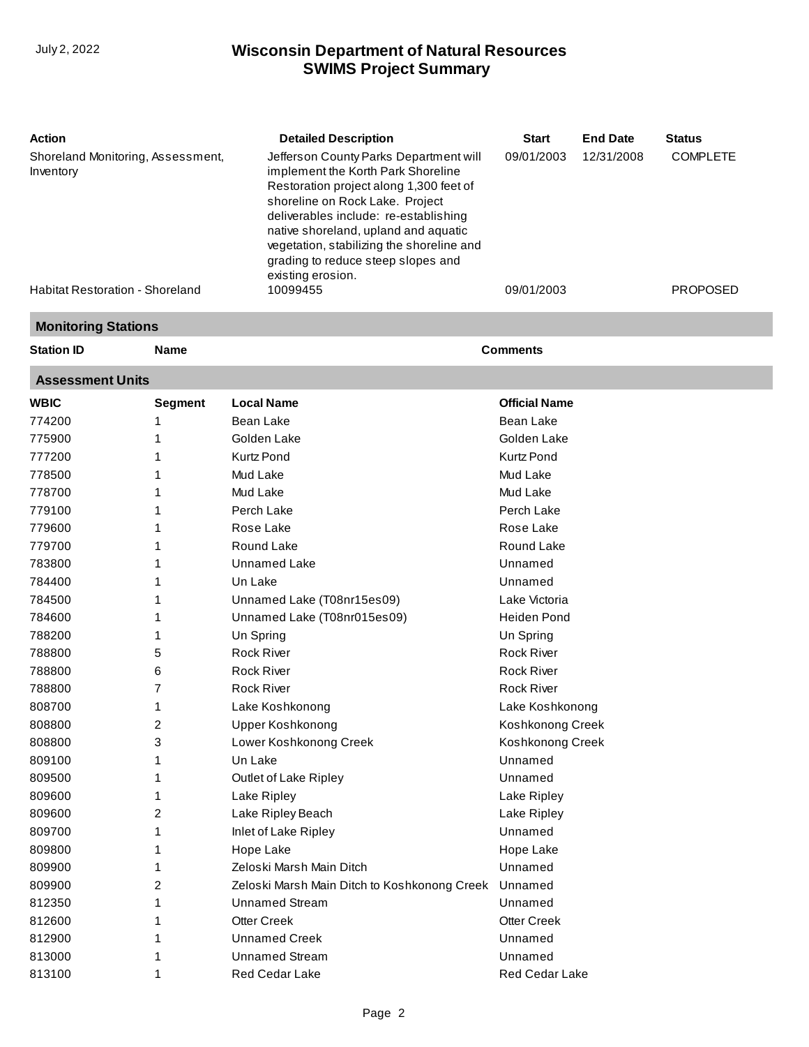| <b>Action</b>                                  | <b>Detailed Description</b>                                                                                                                                                                                                                                                                                                                         | <b>Start</b> | <b>End Date</b> | <b>Status</b>   |
|------------------------------------------------|-----------------------------------------------------------------------------------------------------------------------------------------------------------------------------------------------------------------------------------------------------------------------------------------------------------------------------------------------------|--------------|-----------------|-----------------|
| Shoreland Monitoring, Assessment,<br>Inventory | Jefferson County Parks Department will<br>implement the Korth Park Shoreline<br>Restoration project along 1,300 feet of<br>shoreline on Rock Lake. Project<br>deliverables include: re-establishing<br>native shoreland, upland and aquatic<br>vegetation, stabilizing the shoreline and<br>grading to reduce steep slopes and<br>existing erosion. | 09/01/2003   | 12/31/2008      | <b>COMPLETE</b> |
| <b>Habitat Restoration - Shoreland</b>         | 10099455                                                                                                                                                                                                                                                                                                                                            | 09/01/2003   |                 | <b>PROPOSED</b> |

#### **Monitoring Stations**

| <b>Station ID</b>       | <b>Name</b>    |                                              | <b>Comments</b>      |
|-------------------------|----------------|----------------------------------------------|----------------------|
| <b>Assessment Units</b> |                |                                              |                      |
| <b>WBIC</b>             | <b>Segment</b> | <b>Local Name</b>                            | <b>Official Name</b> |
| 774200                  | 1              | <b>Bean Lake</b>                             | Bean Lake            |
| 775900                  | 1              | Golden Lake                                  | Golden Lake          |
| 777200                  | 1              | <b>Kurtz Pond</b>                            | <b>Kurtz Pond</b>    |
| 778500                  | 1              | Mud Lake                                     | Mud Lake             |
| 778700                  | 1              | Mud Lake                                     | Mud Lake             |
| 779100                  | 1              | Perch Lake                                   | Perch Lake           |
| 779600                  | 1              | Rose Lake                                    | Rose Lake            |
| 779700                  | 1              | Round Lake                                   | Round Lake           |
| 783800                  | 1              | Unnamed Lake                                 | Unnamed              |
| 784400                  | 1              | Un Lake                                      | Unnamed              |
| 784500                  | 1              | Unnamed Lake (T08nr15es09)                   | Lake Victoria        |
| 784600                  | 1              | Unnamed Lake (T08nr015es09)                  | <b>Heiden Pond</b>   |
| 788200                  | 1              | Un Spring                                    | Un Spring            |
| 788800                  | 5              | <b>Rock River</b>                            | <b>Rock River</b>    |
| 788800                  | 6              | <b>Rock River</b>                            | <b>Rock River</b>    |
| 788800                  | 7              | <b>Rock River</b>                            | <b>Rock River</b>    |
| 808700                  | 1              | Lake Koshkonong                              | Lake Koshkonong      |
| 808800                  | 2              | Upper Koshkonong                             | Koshkonong Creek     |
| 808800                  | 3              | Lower Koshkonong Creek                       | Koshkonong Creek     |
| 809100                  | 1              | Un Lake                                      | Unnamed              |
| 809500                  | 1              | Outlet of Lake Ripley                        | Unnamed              |
| 809600                  | 1              | Lake Ripley                                  | Lake Ripley          |
| 809600                  | 2              | Lake Ripley Beach                            | Lake Ripley          |
| 809700                  | 1              | Inlet of Lake Ripley                         | Unnamed              |
| 809800                  | 1              | Hope Lake                                    | Hope Lake            |
| 809900                  | 1              | Zeloski Marsh Main Ditch                     | Unnamed              |
| 809900                  | 2              | Zeloski Marsh Main Ditch to Koshkonong Creek | Unnamed              |
| 812350                  |                | Unnamed Stream                               | Unnamed              |
| 812600                  | 1              | <b>Otter Creek</b>                           | <b>Otter Creek</b>   |
| 812900                  | 1              | Unnamed Creek                                | Unnamed              |
| 813000                  | 1              | <b>Unnamed Stream</b>                        | Unnamed              |
| 813100                  | 1              | <b>Red Cedar Lake</b>                        | Red Cedar Lake       |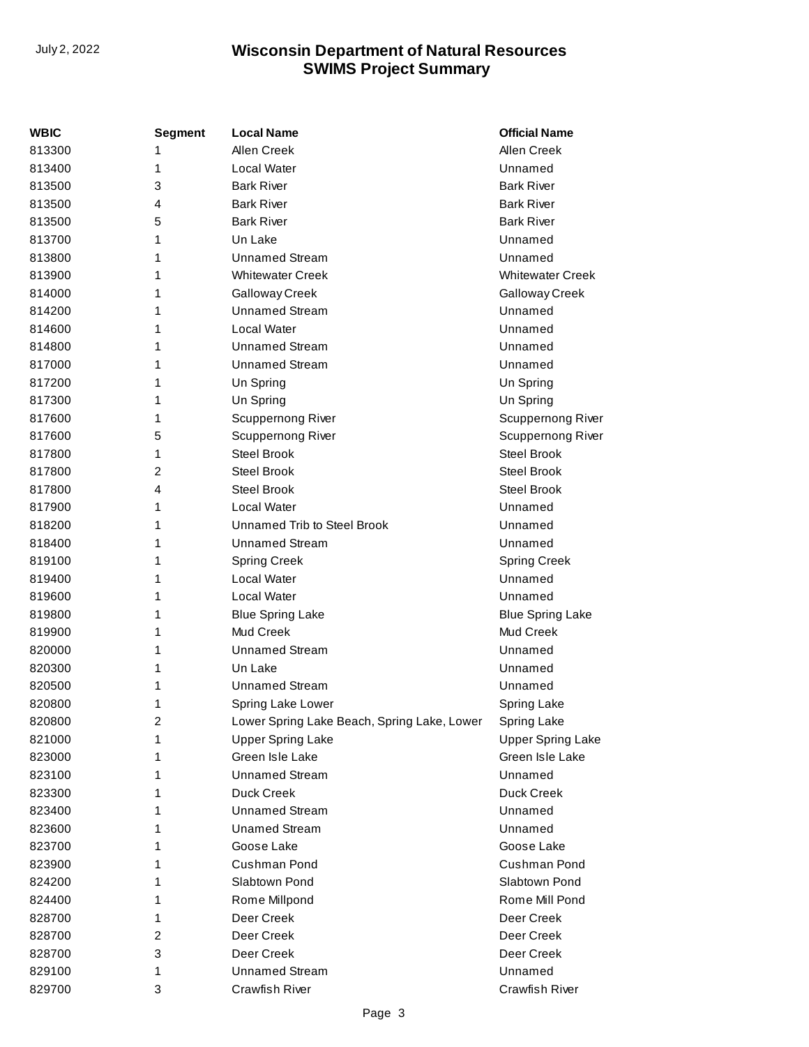| WBIC   | <b>Segment</b> | <b>Local Name</b>                           | <b>Official Name</b>     |
|--------|----------------|---------------------------------------------|--------------------------|
| 813300 | 1              | Allen Creek                                 | Allen Creek              |
| 813400 | 1              | Local Water                                 | Unnamed                  |
| 813500 | 3              | <b>Bark River</b>                           | <b>Bark River</b>        |
| 813500 | 4              | <b>Bark River</b>                           | <b>Bark River</b>        |
| 813500 | 5              | <b>Bark River</b>                           | <b>Bark River</b>        |
| 813700 | 1              | Un Lake                                     | Unnamed                  |
| 813800 | 1              | <b>Unnamed Stream</b>                       | Unnamed                  |
| 813900 | 1              | <b>Whitewater Creek</b>                     | <b>Whitewater Creek</b>  |
| 814000 | 1              | Galloway Creek                              | Galloway Creek           |
| 814200 | 1              | <b>Unnamed Stream</b>                       | Unnamed                  |
| 814600 | 1              | Local Water                                 | Unnamed                  |
| 814800 | 1              | <b>Unnamed Stream</b>                       | Unnamed                  |
| 817000 | 1              | <b>Unnamed Stream</b>                       | Unnamed                  |
| 817200 | 1              | Un Spring                                   | Un Spring                |
| 817300 | 1              | Un Spring                                   | Un Spring                |
| 817600 | 1              | Scuppernong River                           | Scuppernong River        |
| 817600 | 5              | Scuppernong River                           | Scuppernong River        |
| 817800 | 1              | Steel Brook                                 | <b>Steel Brook</b>       |
| 817800 | 2              | Steel Brook                                 | <b>Steel Brook</b>       |
| 817800 | 4              | <b>Steel Brook</b>                          | <b>Steel Brook</b>       |
| 817900 | 1              | Local Water                                 | Unnamed                  |
| 818200 | 1              | <b>Unnamed Trib to Steel Brook</b>          | Unnamed                  |
| 818400 | 1              | <b>Unnamed Stream</b>                       | Unnamed                  |
| 819100 | 1              | <b>Spring Creek</b>                         | <b>Spring Creek</b>      |
| 819400 | 1              | Local Water                                 | Unnamed                  |
| 819600 | 1              | Local Water                                 | Unnamed                  |
| 819800 | 1              | <b>Blue Spring Lake</b>                     | <b>Blue Spring Lake</b>  |
| 819900 | 1              | Mud Creek                                   | Mud Creek                |
| 820000 | 1              | <b>Unnamed Stream</b>                       | Unnamed                  |
| 820300 | 1              | Un Lake                                     | Unnamed                  |
| 820500 | 1              | <b>Unnamed Stream</b>                       | Unnamed                  |
| 820800 | 1              | Spring Lake Lower                           | <b>Spring Lake</b>       |
| 820800 | 2              | Lower Spring Lake Beach, Spring Lake, Lower | Spring Lake              |
| 821000 | 1              | <b>Upper Spring Lake</b>                    | <b>Upper Spring Lake</b> |
| 823000 | 1              | Green Isle Lake                             | Green Isle Lake          |
| 823100 | 1              | <b>Unnamed Stream</b>                       | Unnamed                  |
| 823300 | 1              | Duck Creek                                  | Duck Creek               |
| 823400 | 1              | <b>Unnamed Stream</b>                       | Unnamed                  |
| 823600 | 1              | <b>Unamed Stream</b>                        | Unnamed                  |
| 823700 | 1              | Goose Lake                                  | Goose Lake               |
| 823900 | 1              | Cushman Pond                                | Cushman Pond             |
| 824200 | 1              | Slabtown Pond                               | Slabtown Pond            |
| 824400 | 1              | Rome Millpond                               | Rome Mill Pond           |
| 828700 | 1              | Deer Creek                                  | Deer Creek               |
| 828700 | 2              | Deer Creek                                  | Deer Creek               |
| 828700 | 3              | Deer Creek                                  | Deer Creek               |
| 829100 | 1              | <b>Unnamed Stream</b>                       | Unnamed                  |
| 829700 | 3              | Crawfish River                              | <b>Crawfish River</b>    |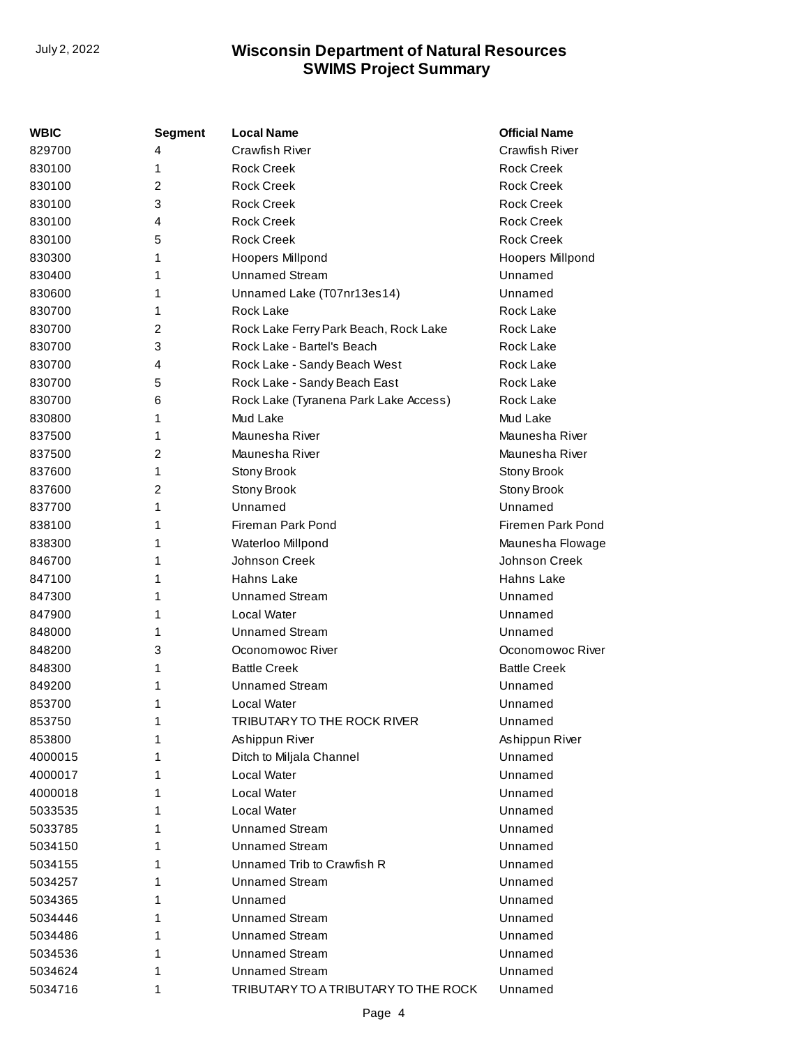| WBIC    | Segment | <b>Local Name</b>                     | <b>Official Name</b>    |
|---------|---------|---------------------------------------|-------------------------|
| 829700  | 4       | <b>Crawfish River</b>                 | Crawfish River          |
| 830100  | 1       | <b>Rock Creek</b>                     | <b>Rock Creek</b>       |
| 830100  | 2       | <b>Rock Creek</b>                     | <b>Rock Creek</b>       |
| 830100  | 3       | <b>Rock Creek</b>                     | <b>Rock Creek</b>       |
| 830100  | 4       | <b>Rock Creek</b>                     | <b>Rock Creek</b>       |
| 830100  | 5       | <b>Rock Creek</b>                     | <b>Rock Creek</b>       |
| 830300  | 1       | Hoopers Millpond                      | <b>Hoopers Millpond</b> |
| 830400  | 1       | <b>Unnamed Stream</b>                 | Unnamed                 |
| 830600  | 1       | Unnamed Lake (T07nr13es14)            | Unnamed                 |
| 830700  | 1       | <b>Rock Lake</b>                      | Rock Lake               |
| 830700  | 2       | Rock Lake Ferry Park Beach, Rock Lake | Rock Lake               |
| 830700  | 3       | Rock Lake - Bartel's Beach            | Rock Lake               |
| 830700  | 4       | Rock Lake - Sandy Beach West          | Rock Lake               |
| 830700  | 5       | Rock Lake - Sandy Beach East          | Rock Lake               |
| 830700  | 6       | Rock Lake (Tyranena Park Lake Access) | Rock Lake               |
| 830800  | 1       | Mud Lake                              | Mud Lake                |
| 837500  | 1       | Maunesha River                        | Maunesha River          |
| 837500  | 2       | Maunesha River                        | Maunesha River          |
| 837600  | 1       | Stony Brook                           | Stony Brook             |
| 837600  | 2       | Stony Brook                           | Stony Brook             |
| 837700  | 1       | Unnamed                               | Unnamed                 |
| 838100  | 1       | Fireman Park Pond                     | Firemen Park Pond       |
| 838300  | 1       | Waterloo Millpond                     | Maunesha Flowage        |
| 846700  | 1       | Johnson Creek                         | Johnson Creek           |
| 847100  | 1       | Hahns Lake                            | Hahns Lake              |
| 847300  | 1       | <b>Unnamed Stream</b>                 | Unnamed                 |
| 847900  | 1       | <b>Local Water</b>                    | Unnamed                 |
| 848000  | 1       | <b>Unnamed Stream</b>                 | Unnamed                 |
| 848200  | 3       | Oconomowoc River                      | Oconomowoc River        |
| 848300  | 1       | <b>Battle Creek</b>                   | <b>Battle Creek</b>     |
| 849200  | 1       | <b>Unnamed Stream</b>                 | Unnamed                 |
| 853700  | 1       | Local Water                           | Unnamed                 |
| 853750  | 1       | TRIBUTARY TO THE ROCK RIVER           | Unnamed                 |
| 853800  | 1       | Ashippun River                        | Ashippun River          |
| 4000015 | 1       | Ditch to Miljala Channel              | Unnamed                 |
| 4000017 | 1       | Local Water                           | Unnamed                 |
| 4000018 | 1       | Local Water                           | Unnamed                 |
| 5033535 | 1       | Local Water                           | Unnamed                 |
| 5033785 | 1       | <b>Unnamed Stream</b>                 | Unnamed                 |
| 5034150 | 1       | <b>Unnamed Stream</b>                 | Unnamed                 |
| 5034155 | 1       | Unnamed Trib to Crawfish R            | Unnamed                 |
| 5034257 | 1       | <b>Unnamed Stream</b>                 | Unnamed                 |
| 5034365 | 1       | Unnamed                               | Unnamed                 |
| 5034446 | 1       | <b>Unnamed Stream</b>                 | Unnamed                 |
| 5034486 | 1       | <b>Unnamed Stream</b>                 | Unnamed                 |
| 5034536 | 1       | <b>Unnamed Stream</b>                 | Unnamed                 |
| 5034624 | 1       | <b>Unnamed Stream</b>                 | Unnamed                 |
| 5034716 | 1       | TRIBUTARY TO A TRIBUTARY TO THE ROCK  | Unnamed                 |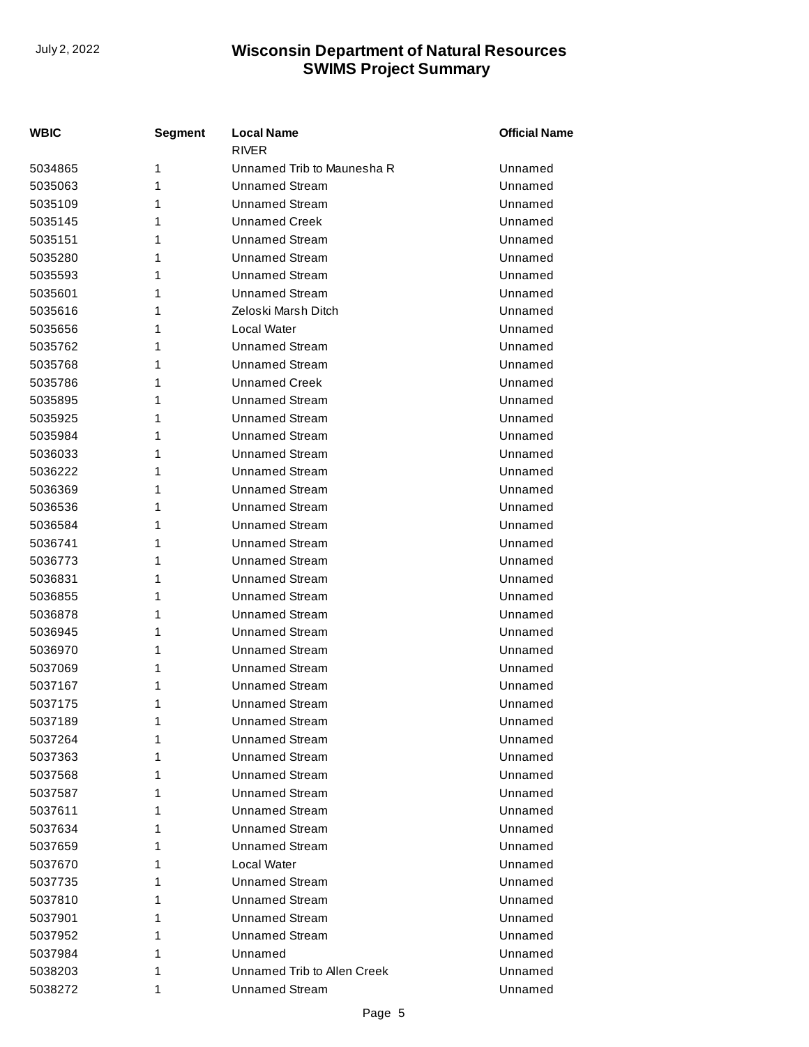| WBIC    | Segment | <b>Local Name</b><br><b>RIVER</b> | <b>Official Name</b> |
|---------|---------|-----------------------------------|----------------------|
| 5034865 | 1       | Unnamed Trib to Maunesha R        | Unnamed              |
| 5035063 | 1       | <b>Unnamed Stream</b>             | Unnamed              |
| 5035109 | 1       | <b>Unnamed Stream</b>             | Unnamed              |
| 5035145 | 1       | <b>Unnamed Creek</b>              | Unnamed              |
| 5035151 | 1       | <b>Unnamed Stream</b>             | Unnamed              |
| 5035280 | 1       | <b>Unnamed Stream</b>             | Unnamed              |
| 5035593 | 1       | <b>Unnamed Stream</b>             | Unnamed              |
| 5035601 | 1       | <b>Unnamed Stream</b>             | Unnamed              |
| 5035616 | 1       | Zeloski Marsh Ditch               | Unnamed              |
| 5035656 | 1       | Local Water                       | Unnamed              |
| 5035762 | 1       | <b>Unnamed Stream</b>             | Unnamed              |
| 5035768 | 1       | <b>Unnamed Stream</b>             | Unnamed              |
| 5035786 | 1       | <b>Unnamed Creek</b>              | Unnamed              |
| 5035895 | 1       | <b>Unnamed Stream</b>             | Unnamed              |
| 5035925 | 1       | <b>Unnamed Stream</b>             | Unnamed              |
| 5035984 | 1       | <b>Unnamed Stream</b>             | Unnamed              |
| 5036033 | 1       | <b>Unnamed Stream</b>             | Unnamed              |
| 5036222 | 1       | <b>Unnamed Stream</b>             | Unnamed              |
| 5036369 | 1       | <b>Unnamed Stream</b>             | Unnamed              |
| 5036536 | 1       | <b>Unnamed Stream</b>             | Unnamed              |
| 5036584 | 1       | <b>Unnamed Stream</b>             | Unnamed              |
| 5036741 | 1       | Unnamed Stream                    | Unnamed              |
| 5036773 | 1       | <b>Unnamed Stream</b>             | Unnamed              |
| 5036831 | 1       | <b>Unnamed Stream</b>             | Unnamed              |
| 5036855 | 1       | <b>Unnamed Stream</b>             | Unnamed              |
| 5036878 | 1       | <b>Unnamed Stream</b>             | Unnamed              |
| 5036945 | 1       | <b>Unnamed Stream</b>             | Unnamed              |
| 5036970 | 1       | <b>Unnamed Stream</b>             | Unnamed              |
| 5037069 | 1       | <b>Unnamed Stream</b>             | Unnamed              |
| 5037167 | 1       | Unnamed Stream                    | Unnamed              |
| 5037175 | 1       | <b>Unnamed Stream</b>             | Unnamed              |
| 5037189 | 1       | <b>Unnamed Stream</b>             | Unnamed              |
| 5037264 | 1       | <b>Unnamed Stream</b>             | Unnamed              |
| 5037363 | 1       | Unnamed Stream                    | Unnamed              |
| 5037568 | 1       | <b>Unnamed Stream</b>             | Unnamed              |
| 5037587 | 1       | <b>Unnamed Stream</b>             | Unnamed              |
| 5037611 | 1       | <b>Unnamed Stream</b>             | Unnamed              |
| 5037634 | 1       | <b>Unnamed Stream</b>             | Unnamed              |
| 5037659 | 1       | <b>Unnamed Stream</b>             | Unnamed              |
| 5037670 | 1       | Local Water                       | Unnamed              |
| 5037735 | 1       | <b>Unnamed Stream</b>             | Unnamed              |
| 5037810 | 1       | Unnamed Stream                    | Unnamed              |
| 5037901 | 1       | <b>Unnamed Stream</b>             | Unnamed              |
| 5037952 | 1       | <b>Unnamed Stream</b>             | Unnamed              |
| 5037984 | 1       | Unnamed                           | Unnamed              |
| 5038203 | 1       | Unnamed Trib to Allen Creek       | Unnamed              |
| 5038272 | 1       | <b>Unnamed Stream</b>             | Unnamed              |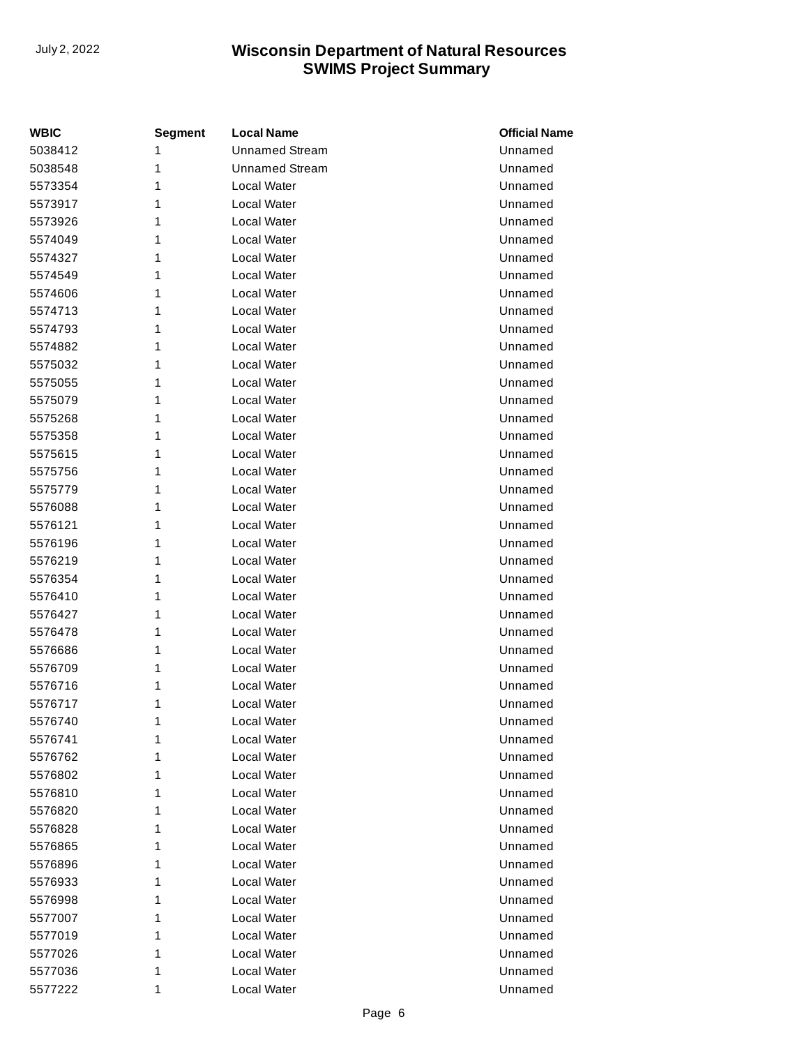| <b>WBIC</b> | <b>Segment</b> | <b>Local Name</b>     | <b>Official Name</b> |
|-------------|----------------|-----------------------|----------------------|
| 5038412     | 1              | <b>Unnamed Stream</b> | Unnamed              |
| 5038548     | 1              | <b>Unnamed Stream</b> | Unnamed              |
| 5573354     | 1              | Local Water           | Unnamed              |
| 5573917     | 1              | Local Water           | Unnamed              |
| 5573926     | 1              | Local Water           | Unnamed              |
| 5574049     | 1              | Local Water           | Unnamed              |
| 5574327     | 1              | Local Water           | Unnamed              |
| 5574549     | 1              | Local Water           | Unnamed              |
| 5574606     | 1              | Local Water           | Unnamed              |
| 5574713     | 1              | Local Water           | Unnamed              |
| 5574793     | 1              | Local Water           | Unnamed              |
| 5574882     | 1              | Local Water           | Unnamed              |
| 5575032     | 1              | Local Water           | Unnamed              |
| 5575055     | 1              | Local Water           | Unnamed              |
| 5575079     | 1              | Local Water           | Unnamed              |
| 5575268     | 1              | Local Water           | Unnamed              |
| 5575358     | 1              | Local Water           | Unnamed              |
| 5575615     | 1              | Local Water           | Unnamed              |
| 5575756     | 1              | Local Water           | Unnamed              |
| 5575779     | 1              | Local Water           | Unnamed              |
| 5576088     | 1              | Local Water           | Unnamed              |
| 5576121     | 1              | Local Water           | Unnamed              |
| 5576196     | 1              | Local Water           | Unnamed              |
| 5576219     | 1              | Local Water           | Unnamed              |
| 5576354     | 1              | Local Water           | Unnamed              |
| 5576410     | 1              | Local Water           | Unnamed              |
| 5576427     | 1              | Local Water           | Unnamed              |
| 5576478     | 1              | Local Water           | Unnamed              |
| 5576686     | 1              | Local Water           | Unnamed              |
| 5576709     | 1              | Local Water           | Unnamed              |
| 5576716     | 1              | Local Water           | Unnamed              |
| 5576717     | 1              | Local Water           | Unnamed              |
| 5576740     | 1              | Local Water           | Unnamed              |
| 5576741     | 1              | Local Water           | Unnamed              |
| 5576762     | 1              | Local Water           | Unnamed              |
| 5576802     | 1              | Local Water           | Unnamed              |
| 5576810     | 1              | Local Water           | Unnamed              |
| 5576820     | 1              | Local Water           | Unnamed              |
| 5576828     | 1              | Local Water           | Unnamed              |
| 5576865     | 1              | Local Water           | Unnamed              |
| 5576896     | 1              | Local Water           | Unnamed              |
| 5576933     | 1              | Local Water           | Unnamed              |
| 5576998     | 1              | Local Water           | Unnamed              |
| 5577007     | 1              | Local Water           | Unnamed              |
| 5577019     | 1              | Local Water           | Unnamed              |
| 5577026     | 1              | Local Water           | Unnamed              |
| 5577036     | 1              | Local Water           | Unnamed              |
| 5577222     | 1              | Local Water           | Unnamed              |